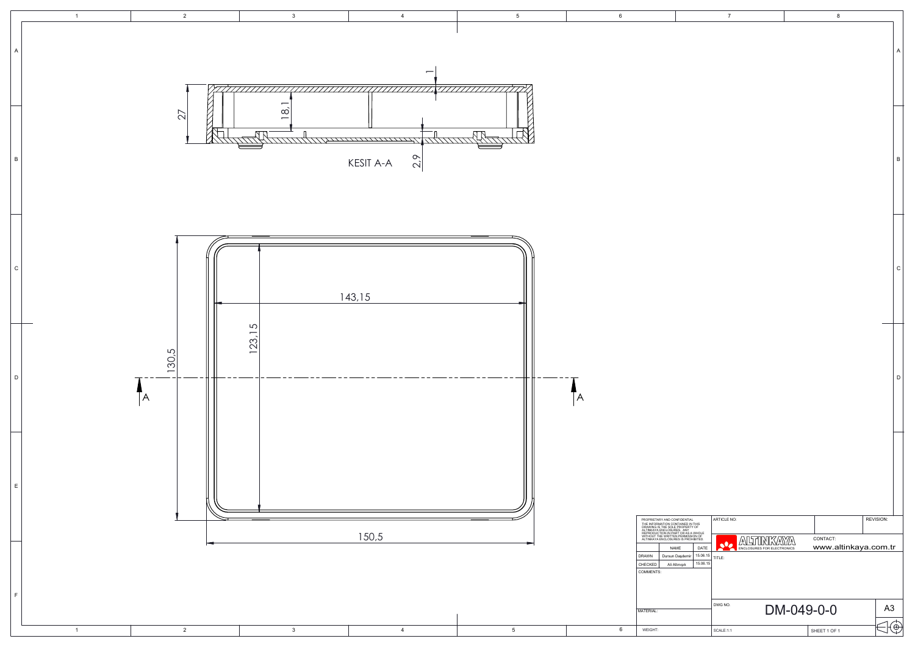|                                                                         | $\overline{7}$                                                            | 8                                |                |              |
|-------------------------------------------------------------------------|---------------------------------------------------------------------------|----------------------------------|----------------|--------------|
|                                                                         |                                                                           |                                  |                | A            |
|                                                                         |                                                                           |                                  |                | $\sf B$      |
|                                                                         |                                                                           |                                  |                | $\mathsf{C}$ |
|                                                                         |                                                                           |                                  |                | D            |
|                                                                         |                                                                           |                                  |                |              |
| IAL<br>IN THIS<br>KTY OF                                                | ARTICLE NO:                                                               |                                  | REVISION:      |              |
| A WHOLE<br>SSION OF<br>OHIBITED.<br>DATE<br>15.06.15<br>ıir<br>15.06.15 | ALTINKAYA<br>$\overline{\bullet}$<br>ENCLOSURES FOR ELECTRONICS<br>TITLE: | CONTACT:<br>www.altinkaya.com.tr |                |              |
|                                                                         | DWG NO.                                                                   | DM-049-0-0                       | A <sub>3</sub> |              |
|                                                                         | SCALE:1:1                                                                 | SHEET 1 OF 1                     | €              |              |
|                                                                         |                                                                           |                                  |                |              |

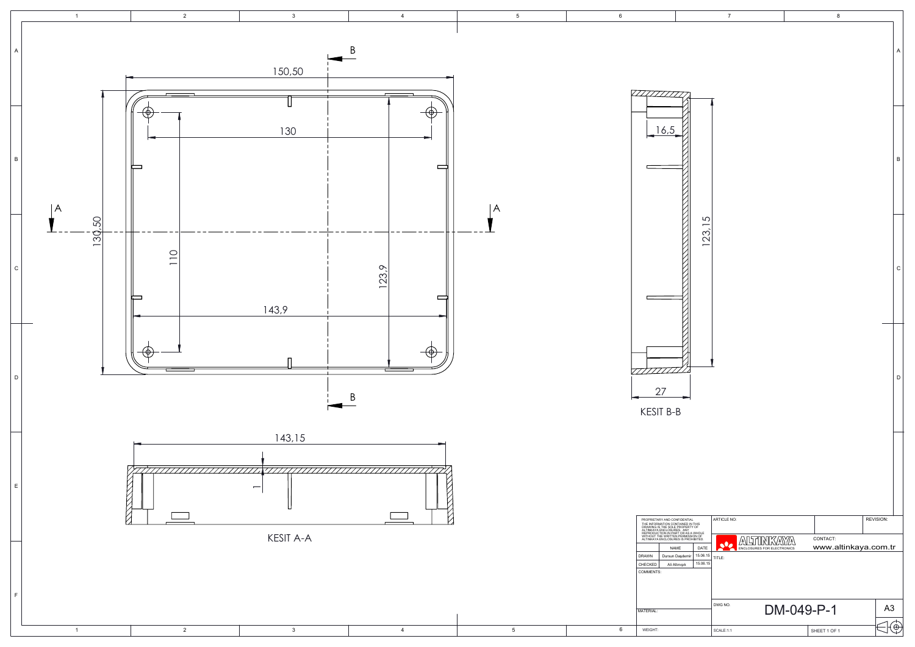|                                        | $\overline{7}$                                       | 8                                     |                | A            |
|----------------------------------------|------------------------------------------------------|---------------------------------------|----------------|--------------|
|                                        |                                                      |                                       |                | B            |
| 123, 15                                |                                                      |                                       |                | $\mathsf{C}$ |
|                                        |                                                      |                                       |                | D            |
|                                        |                                                      |                                       |                |              |
| ١L.<br>N THIS<br>'Y OF                 | ARTICLE NO:                                          |                                       | REVISION:      |              |
| A WHOLE<br>SION OF<br>HIBITED.<br>DATE | <b>ALTINKA</b><br>يانى<br>ENCLOSURES FOR ELECTRONICS | CONTACT:<br>A<br>www.altinkaya.com.tr |                |              |
| 15.06.15<br>15.06.15                   | TITLE:                                               |                                       |                |              |
|                                        | DWG NO.                                              | DM-049-P-1                            | A <sub>3</sub> |              |
|                                        | SCALE:1:1                                            | SHEET 1 OF 1                          |                | $\oplus$     |